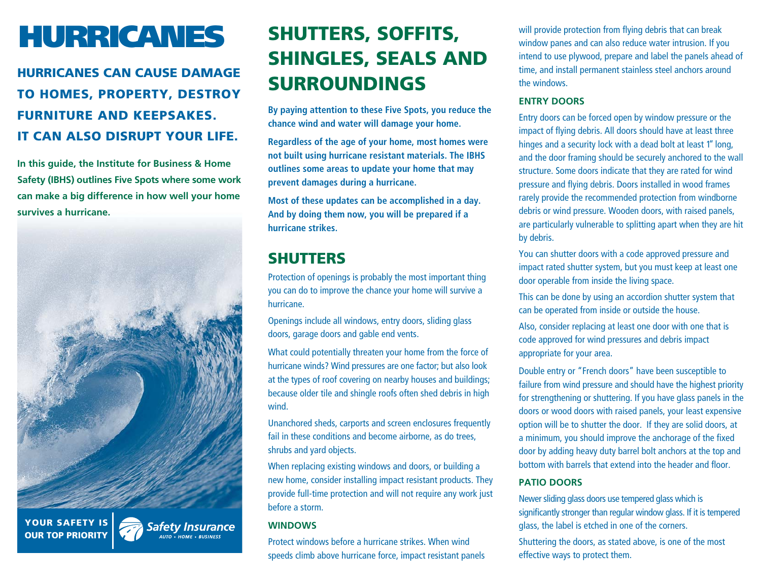# **HURRICANES**

## **HURRICANES CAN CAUSE DAMAGE TO HOMES, PROPERTY, DESTROY FURNITURE AND KEEPSAKES. IT CAN ALSO DISRUPT YOUR LIFE.**

**In this guide, the Institute for Business & Home Safety (IBHS) outlines Five Spots where some work can make a big difference in how well your home survives a hurricane.**



**YOUR SAFETY ISOUR TOP PRIORITY**

**Safety Insurance** 

## **SHUTTERS, SOFFITS, SHINGLES, SEALS AND SURROUNDINGS**

**By paying attention to these Five Spots, you reduce the chance wind and water will damage your home.**

**Regardless of the age of your home, most homes were not built using hurricane resistant materials. The IBHS outlines some areas to update your home that may prevent damages during a hurricane.**

**Most of these updates can be accomplished in a day. And by doing them now, you will be prepared if a hurricane strikes.**

## **SHUTTERS**

Protection of openings is probably the most important thing you can do to improve the chance your home will survive a hurricane.

Openings include all windows, entry doors, sliding glass doors, garage doors and gable end vents.

What could potentially threaten your home from the force of hurricane winds? Wind pressures are one factor; but also look at the types of roof covering on nearby houses and buildings; because older tile and shingle roofs often shed debris in high wind.

Unanchored sheds, carports and screen enclosures frequently fail in these conditions and become airborne, as do trees, shrubs and yard objects.

When replacing existing windows and doors, or building a new home, consider installing impact resistant products. They provide full-time protection and will not require any work just before a storm.

#### **WINDOWS**

Protect windows before a hurricane strikes. When wind speeds climb above hurricane force, impact resistant panels will provide protection from flying debris that can break window panes and can also reduce water intrusion. If you intend to use plywood, prepare and label the panels ahead of time, and install permanent stainless steel anchors around the windows.

#### **ENTRY DOORS**

Entry doors can be forced open by window pressure or the impact of flying debris. All doors should have at least three hinges and a security lock with a dead bolt at least 1" long, and the door framing should be securely anchored to the wall structure. Some doors indicate that they are rated for wind pressure and flying debris. Doors installed in wood frames rarely provide the recommended protection from windborne debris or wind pressure. Wooden doors, with raised panels, are particularly vulnerable to splitting apart when they are hit by debris.

You can shutter doors with a code approved pressure and impact rated shutter system, but you must keep at least one door operable from inside the living space.

This can be done by using an accordion shutter system that can be operated from inside or outside the house.

Also, consider replacing at least one door with one that is code approved for wind pressures and debris impact appropriate for your area.

Double entry or "French doors" have been susceptible to failure from wind pressure and should have the highest priority for strengthening or shuttering. If you have glass panels in the doors or wood doors with raised panels, your least expensive option will be to shutter the door. If they are solid doors, at a minimum, you should improve the anchorage of the fixed door by adding heavy duty barrel bolt anchors at the top and bottom with barrels that extend into the header and floor.

#### **PATIO DOORS**

Newer sliding glass doors use tempered glass which is significantly stronger than regular window glass. If it is tempered glass, the label is etched in one of the corners.

Shuttering the doors, as stated above, is one of the most effective ways to protect them.